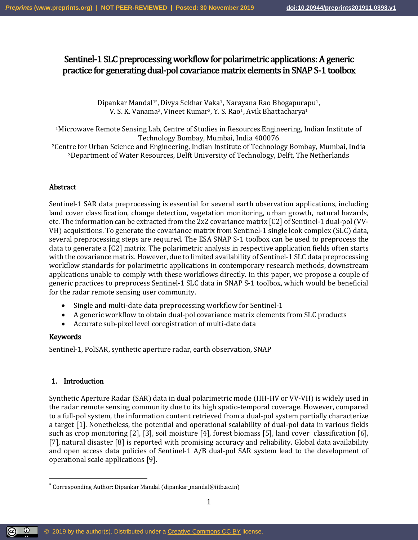# Sentinel-1 SLC preprocessing workflow for polarimetric applications: A generic practice for generating dual-pol covariance matrix elements in SNAP S-1 toolbox

Dipankar Mandal<sup>1\*</sup>, Divya Sekhar Vaka<sup>1</sup>, Narayana Rao Bhogapurapu<sup>1</sup>, V. S. K. Vanama<sup>2</sup>, Vineet Kumar<sup>3</sup>, Y. S. Rao<sup>1</sup>, Avik Bhattacharya<sup>1</sup>

<sup>1</sup>Microwave Remote Sensing Lab, Centre of Studies in Resources Engineering, Indian Institute of Technology Bombay, Mumbai, India 400076

<sup>2</sup>Centre for Urban Science and Engineering, Indian Institute of Technology Bombay, Mumbai, India <sup>3</sup>Department of Water Resources, Delft University of Technology, Delft, The Netherlands

# Abstract

Sentinel-1 SAR data preprocessing is essential for several earth observation applications, including land cover classification, change detection, vegetation monitoring, urban growth, natural hazards, etc. The information can be extracted from the 2x2 covariance matrix [C2] of Sentinel-1 dual-pol (VV-VH) acquisitions. To generate the covariance matrix from Sentinel-1 single look complex (SLC) data, several preprocessing steps are required. The ESA SNAP S-1 toolbox can be used to preprocess the data to generate a [C2] matrix. The polarimetric analysis in respective application fields often starts with the covariance matrix. However, due to limited availability of Sentinel-1 SLC data preprocessing workflow standards for polarimetric applications in contemporary research methods, downstream applications unable to comply with these workflows directly. In this paper, we propose a couple of generic practices to preprocess Sentinel-1 SLC data in SNAP S-1 toolbox, which would be beneficial for the radar remote sensing user community.

- Single and multi-date data preprocessing workflow for Sentinel-1
- A generic workflow to obtain dual-pol covariance matrix elements from SLC products
- Accurate sub-pixel level coregistration of multi-date data

# Keywords

 $\overline{\phantom{a}}$ 

Sentinel-1, PolSAR, synthetic aperture radar, earth observation, SNAP

# 1. Introduction

Synthetic Aperture Radar (SAR) data in dual polarimetric mode (HH-HV or VV-VH) is widely used in the radar remote sensing community due to its high spatio-temporal coverage. However, compared to a full-pol system, the information content retrieved from a dual-pol system partially characterize a target [1]. Nonetheless, the potential and operational scalability of dual-pol data in various fields such as crop monitoring [2], [3], soil moisture [4], forest biomass [5], land cover classification [6], [7], natural disaster [8] is reported with promising accuracy and reliability. Global data availability and open access data policies of Sentinel-1 A/B dual-pol SAR system lead to the development of operational scale applications [9].

<sup>\*</sup> Corresponding Author: Dipankar Mandal (dipankar\_mandal@iitb.ac.in)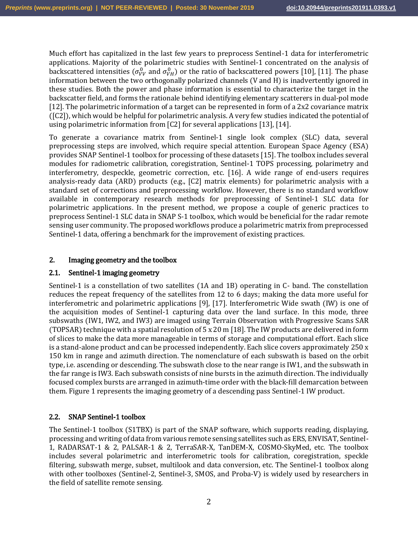Much effort has capitalized in the last few years to preprocess Sentinel-1 data for interferometric applications. Majority of the polarimetric studies with Sentinel-1 concentrated on the analysis of backscattered intensities ( $\sigma_{VV}^0$  and  $\sigma_{VH}^0$ ) or the ratio of backscattered powers [10], [11]. The phase information between the two orthogonally polarized channels (V and H) is inadvertently ignored in these studies. Both the power and phase information is essential to characterize the target in the backscatter field, and forms the rationale behind identifying elementary scatterers in dual-pol mode [12]. The polarimetric information of a target can be represented in form of a 2x2 covariance matrix ([C2]), which would be helpful for polarimetric analysis. A very few studies indicated the potential of using polarimetric information from [C2] for several applications [13], [14].

To generate a covariance matrix from Sentinel-1 single look complex (SLC) data, several preprocessing steps are involved, which require special attention. European Space Agency (ESA) provides SNAP Sentinel-1 toolbox for processing of these datasets [15]. The toolbox includes several modules for radiometric calibration, coregistration, Sentinel-1 TOPS processing, polarimetry and interferometry, despeckle, geometric correction, etc. [16]. A wide range of end-users requires analysis-ready data (ARD) products (e.g., [C2] matrix elements) for polarimetric analysis with a standard set of corrections and preprocessing workflow. However, there is no standard workflow available in contemporary research methods for preprocessing of Sentinel-1 SLC data for polarimetric applications. In the present method, we propose a couple of generic practices to preprocess Sentinel-1 SLC data in SNAP S-1 toolbox, which would be beneficial for the radar remote sensing user community. The proposed workflows produce a polarimetric matrix from preprocessed Sentinel-1 data, offering a benchmark for the improvement of existing practices.

# 2. Imaging geometry and the toolbox

# 2.1. Sentinel-1 imaging geometry

Sentinel-1 is a constellation of two satellites (1A and 1B) operating in C- band. The constellation reduces the repeat frequency of the satellites from 12 to 6 days; making the data more useful for interferometric and polarimetric applications [9], [17]. Interferometric Wide swath (IW) is one of the acquisition modes of Sentinel-1 capturing data over the land surface. In this mode, three subswaths (IW1, IW2, and IW3) are imaged using Terrain Observation with Progressive Scans SAR (TOPSAR) technique with a spatial resolution of  $5 \times 20$  m [18]. The IW products are delivered in form of slices to make the data more manageable in terms of storage and computational effort. Each slice is a stand-alone product and can be processed independently. Each slice covers approximately 250 x 150 km in range and azimuth direction. The nomenclature of each subswath is based on the orbit type, i.e. ascending or descending. The subswath close to the near range is IW1, and the subswath in the far range is IW3. Each subswath consists of nine bursts in the azimuth direction. The individually focused complex bursts are arranged in azimuth-time order with the black-fill demarcation between them. [Figure 1](#page-2-0) represents the imaging geometry of a descending pass Sentinel-1 IW product.

# 2.2. SNAP Sentinel-1 toolbox

The Sentinel-1 toolbox (S1TBX) is part of the SNAP software, which supports reading, displaying, processing and writing of data from various remote sensing satellites such as ERS, ENVISAT, Sentinel-1, RADARSAT-1 & 2, PALSAR-1 & 2, TerraSAR-X, TanDEM-X, COSMO-SkyMed, etc. The toolbox includes several polarimetric and interferometric tools for calibration, coregistration, speckle filtering, subswath merge, subset, multilook and data conversion, etc. The Sentinel-1 toolbox along with other toolboxes (Sentinel-2, Sentinel-3, SMOS, and Proba-V) is widely used by researchers in the field of satellite remote sensing.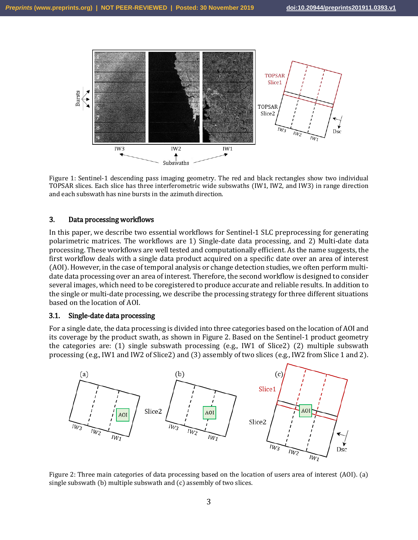

<span id="page-2-0"></span>Figure 1: Sentinel-1 descending pass imaging geometry. The red and black rectangles show two individual TOPSAR slices. Each slice has three interferometric wide subswaths (IW1, IW2, and IW3) in range direction and each subswath has nine bursts in the azimuth direction.

# 3. Data processing workflows

In this paper, we describe two essential workflows for Sentinel-1 SLC preprocessing for generating polarimetric matrices. The workflows are 1) Single-date data processing, and 2) Multi-date data processing. These workflows are well tested and computationally efficient. As the name suggests, the first workflow deals with a single data product acquired on a specific date over an area of interest (AOI). However, in the case of temporal analysis or change detection studies, we often perform multidate data processing over an area of interest. Therefore, the second workflow is designed to consider several images, which need to be coregistered to produce accurate and reliable results. In addition to the single or multi-date processing, we describe the processing strategy for three different situations based on the location of AOI.

# 3.1. Single-date data processing

For a single date, the data processing is divided into three categories based on the location of AOI and its coverage by the product swath, as shown in [Figure 2.](#page-2-1) Based on the Sentinel-1 product geometry the categories are: (1) single subswath processing (e.g., IW1 of Slice2) (2) multiple subswath processing (e.g., IW1 and IW2 of Slice2) and (3) assembly of two slices (e.g., IW2 from Slice 1 and 2).



<span id="page-2-1"></span>Figure 2: Three main categories of data processing based on the location of users area of interest (AOI). (a) single subswath (b) multiple subswath and (c) assembly of two slices.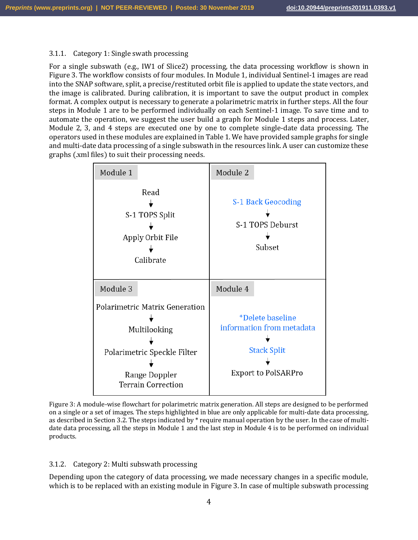#### 3.1.1. Category 1: Single swath processing

For a single subswath (e.g., IW1 of Slice2) processing, the data processing workflow is shown in [Figure 3.](#page-3-0) The workflow consists of four modules. In Module 1, individual Sentinel-1 images are read into the SNAP software, split, a precise/restituted orbit file is applied to update the state vectors, and the image is calibrated. During calibration, it is important to save the output product in complex format. A complex output is necessary to generate a polarimetric matrix in further steps. All the four steps in Module 1 are to be performed individually on each Sentinel-1 image. To save time and to automate the operation, we suggest the user build a graph for Module 1 steps and process. Later, Module 2, 3, and 4 steps are executed one by one to complete single-date data processing. The operators used in these modules are explained in Table 1. We have provided sample graphs for single and multi-date data processing of a single subswath in the resources link. A user can customize these graphs (.xml files) to suit their processing needs.



<span id="page-3-0"></span>Figure 3: A module-wise flowchart for polarimetric matrix generation. All steps are designed to be performed on a single or a set of images. The steps highlighted in blue are only applicable for multi-date data processing, as described in Sectio[n 3.2.](#page-5-0) The steps indicated by \* require manual operation by the user. In the case of multidate data processing, all the steps in Module 1 and the last step in Module 4 is to be performed on individual products.

# 3.1.2. Category 2: Multi subswath processing

Depending upon the category of data processing, we made necessary changes in a specific module, which is to be replaced with an existing module in [Figure 3.](#page-3-0) In case of multiple subswath processing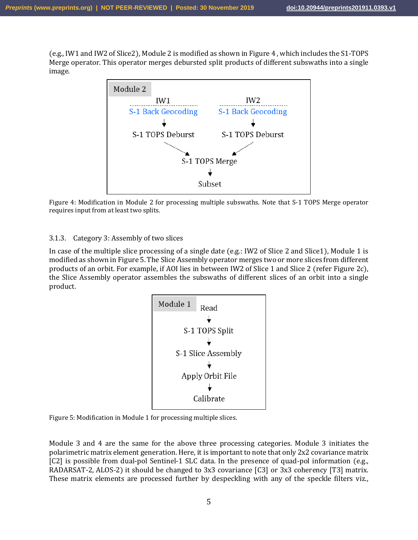(e.g., IW1 and IW2 of Slice2), Module 2 is modified as shown in [Figure 4](#page-4-0) , which includes the S1-TOPS Merge operator. This operator merges debursted split products of different subswaths into a single image.



<span id="page-4-0"></span>

# 3.1.3. Category 3: Assembly of two slices

In case of the multiple slice processing of a single date (e.g.: IW2 of Slice 2 and Slice1), Module 1 is modified as shown in [Figure 5.](#page-4-1) The Slice Assembly operator merges two or more slices from different products of an orbit. For example, if AOI lies in between IW2 of Slice 1 and Slice 2 (refer [Figure 2c](#page-2-1)), the Slice Assembly operator assembles the subswaths of different slices of an orbit into a single product.



<span id="page-4-1"></span>Figure 5: Modification in Module 1 for processing multiple slices.

Module 3 and 4 are the same for the above three processing categories. Module 3 initiates the polarimetric matrix element generation. Here, it is important to note that only 2x2 covariance matrix [C2] is possible from dual-pol Sentinel-1 SLC data. In the presence of quad-pol information (e.g., RADARSAT-2, ALOS-2) it should be changed to 3x3 covariance [C3] or 3x3 coherency [T3] matrix. These matrix elements are processed further by despeckling with any of the speckle filters viz.,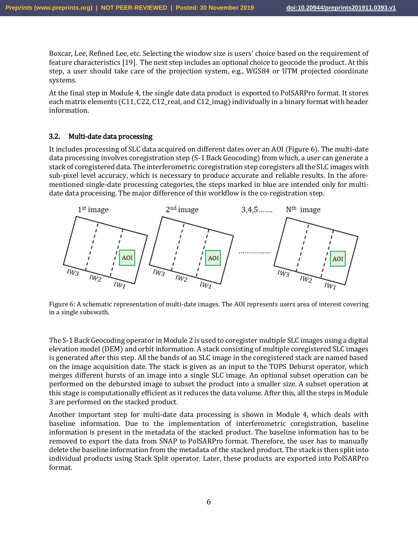Boxcar, Lee, Refined Lee, etc. Selecting the window size is users' choice based on the requirement of feature characteristics [19]. The next step includes an optional choice to geocode the product. At this step, a user should take care of the projection system, e.g., WGS84 or UTM projected coordinate systems.

At the final step in Module 4, the single date data product is exported to PolSARPro format. It stores each matrix elements (C11, C22, C12, real, and C12 imag) individually in a binary format with header information.

# <span id="page-5-0"></span>3.2. Multi-date data processing

It includes processing of SLC data acquired on different dates over an AOI [\(Figure 6\)](#page-5-1). The multi-date data processing involves coregistration step (S-1 Back Geocoding) from which, a user can generate a stack of coregistered data. The interferometric coregistration step coregisters all the SLC images with sub-pixel level accuracy, which is necessary to produce accurate and reliable results. In the aforementioned single-date processing categories, the steps marked in blue are intended only for multidate data processing. The major difference of this workflow is the co-registration step.



<span id="page-5-1"></span>Figure 6: A schematic representation of multi-date images. The AOI represents users area of interest covering in a single subswath.

The S-1 Back Geocoding operator in Module 2 is used to coregister multiple SLC images using a digital elevation model (DEM) and orbit information. A stack consisting of multiple coregistered SLC images is generated after this step. All the bands of an SLC image in the coregistered stack are named based on the image acquisition date. The stack is given as an input to the TOPS Deburst operator, which merges different bursts of an image into a single SLC image. An optional subset operation can be performed on the debursted image to subset the product into a smaller size. A subset operation at this stage is computationally efficient as it reduces the data volume. After this, all the steps in Module 3 are performed on the stacked product.

Another important step for multi-date data processing is shown in Module 4, which deals with baseline information. Due to the implementation of interferometric coregistration, baseline information is present in the metadata of the stacked product. The baseline information has to be removed to export the data from SNAP to PolSARPro format. Therefore, the user has to manually delete the baseline information from the metadata of the stacked product. The stack is then split into individual products using Stack Split operator. Later, these products are exported into PolSARPro format.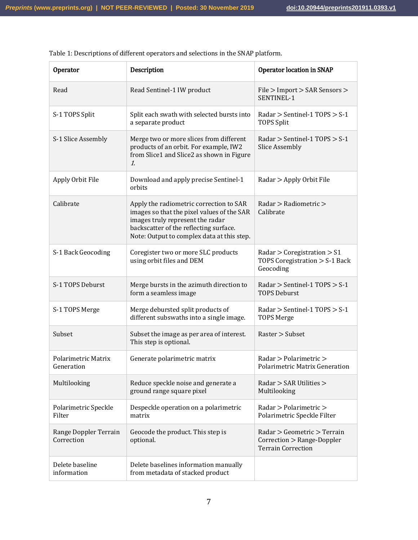| Operator                                 | Description                                                                                                                                                                                                       | <b>Operator location in SNAP</b>                                                       |
|------------------------------------------|-------------------------------------------------------------------------------------------------------------------------------------------------------------------------------------------------------------------|----------------------------------------------------------------------------------------|
| Read                                     | Read Sentinel-1 IW product                                                                                                                                                                                        | File > Import > SAR Sensors ><br>SENTINEL-1                                            |
| S-1 TOPS Split                           | Split each swath with selected bursts into<br>a separate product                                                                                                                                                  | Radar $>$ Sentinel-1 TOPS $>$ S-1<br><b>TOPS Split</b>                                 |
| S-1 Slice Assembly                       | Merge two or more slices from different<br>products of an orbit. For example, IW2<br>from Slice1 and Slice2 as shown in Figure<br>1.                                                                              | Radar > Sentinel-1 TOPS > S-1<br><b>Slice Assembly</b>                                 |
| Apply Orbit File                         | Download and apply precise Sentinel-1<br>orbits                                                                                                                                                                   | Radar > Apply Orbit File                                                               |
| Calibrate                                | Apply the radiometric correction to SAR<br>images so that the pixel values of the SAR<br>images truly represent the radar<br>backscatter of the reflecting surface.<br>Note: Output to complex data at this step. | Radar > Radiometric ><br>Calibrate                                                     |
| S-1 Back Geocoding                       | Coregister two or more SLC products<br>using orbit files and DEM                                                                                                                                                  | Radar $>$ Coregistration $>$ S1<br>TOPS Coregistration > S-1 Back<br>Geocoding         |
| S-1 TOPS Deburst                         | Merge bursts in the azimuth direction to<br>form a seamless image                                                                                                                                                 | Radar > Sentinel-1 TOPS > S-1<br><b>TOPS Deburst</b>                                   |
| S-1 TOPS Merge                           | Merge debursted split products of<br>different subswaths into a single image.                                                                                                                                     | Radar > Sentinel-1 TOPS > S-1<br><b>TOPS Merge</b>                                     |
| Subset                                   | Subset the image as per area of interest.<br>This step is optional.                                                                                                                                               | Raster > Subset                                                                        |
| <b>Polarimetric Matrix</b><br>Generation | Generate polarimetric matrix                                                                                                                                                                                      | Radar > Polarimetric ><br><b>Polarimetric Matrix Generation</b>                        |
| Multilooking                             | Reduce speckle noise and generate a<br>ground range square pixel                                                                                                                                                  | Radar > SAR Utilities ><br>Multilooking                                                |
| Polarimetric Speckle<br>Filter           | Despeckle operation on a polarimetric<br>matrix                                                                                                                                                                   | Radar > Polarimetric ><br>Polarimetric Speckle Filter                                  |
| Range Doppler Terrain<br>Correction      | Geocode the product. This step is<br>optional.                                                                                                                                                                    | Radar > Geometric > Terrain<br>Correction > Range-Doppler<br><b>Terrain Correction</b> |
| Delete baseline<br>information           | Delete baselines information manually<br>from metadata of stacked product                                                                                                                                         |                                                                                        |

Table 1: Descriptions of different operators and selections in the SNAP platform.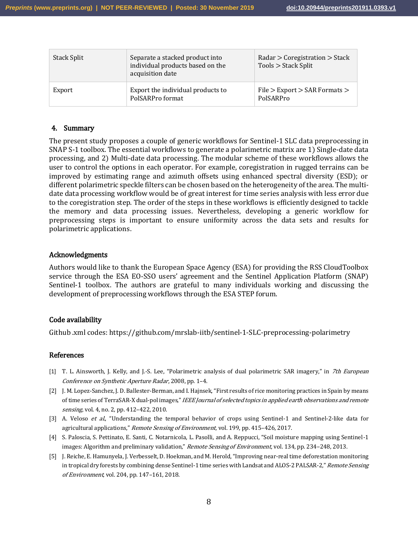| Stack Split | Separate a stacked product into<br>individual products based on the<br>acquisition date | Radar > Coregistration > Stack<br>Tools > Stack Split |
|-------------|-----------------------------------------------------------------------------------------|-------------------------------------------------------|
| Export      | Export the individual products to<br>PolSARPro format                                   | $File > Expert > SAR$ Formats $>$<br>PolSARPro        |

### 4. Summary

The present study proposes a couple of generic workflows for Sentinel-1 SLC data preprocessing in SNAP S-1 toolbox. The essential workflows to generate a polarimetric matrix are 1) Single-date data processing, and 2) Multi-date data processing. The modular scheme of these workflows allows the user to control the options in each operator. For example, coregistration in rugged terrains can be improved by estimating range and azimuth offsets using enhanced spectral diversity (ESD); or different polarimetric speckle filters can be chosen based on the heterogeneity of the area. The multidate data processing workflow would be of great interest for time series analysis with less error due to the coregistration step. The order of the steps in these workflows is efficiently designed to tackle the memory and data processing issues. Nevertheless, developing a generic workflow for preprocessing steps is important to ensure uniformity across the data sets and results for polarimetric applications.

#### Acknowledgments

Authors would like to thank the European Space Agency (ESA) for providing the RSS CloudToolbox service through the ESA EO-SSO users' agreement and the Sentinel Application Platform (SNAP) Sentinel-1 toolbox. The authors are grateful to many individuals working and discussing the development of preprocessing workflows through the ESA STEP forum.

#### Code availability

Github .xml codes: https://github.com/mrslab-iitb/sentinel-1-SLC-preprocessing-polarimetry

#### References

- [1] T. L. Ainsworth, J. Kelly, and J.-S. Lee, "Polarimetric analysis of dual polarimetric SAR imagery," in 7th European Conference on Synthetic Aperture Radar, 2008, pp. 1–4.
- [2] J. M. Lopez-Sanchez, J. D. Ballester-Berman, and I. Hajnsek, "First results of rice monitoring practices in Spain by means of time series of TerraSAR-X dual-pol images," IEEE Journal of selected topics in applied earth observations and remote sensing, vol. 4, no. 2, pp. 412-422, 2010.
- [3] A. Veloso et al., "Understanding the temporal behavior of crops using Sentinel-1 and Sentinel-2-like data for agricultural applications," Remote Sensing of Environment, vol. 199, pp. 415-426, 2017.
- [4] S. Paloscia, S. Pettinato, E. Santi, C. Notarnicola, L. Pasolli, and A. Reppucci, "Soil moisture mapping using Sentinel-1 images: Algorithm and preliminary validation," Remote Sensing of Environment, vol. 134, pp. 234-248, 2013.
- [5] J. Reiche, E. Hamunyela, J. Verbesselt, D. Hoekman, and M. Herold, "Improving near-real time deforestation monitoring in tropical dry forests by combining dense Sentinel-1 time series with Landsat and ALOS-2 PALSAR-2," Remote Sensing of Environment, vol. 204, pp. 147–161, 2018.